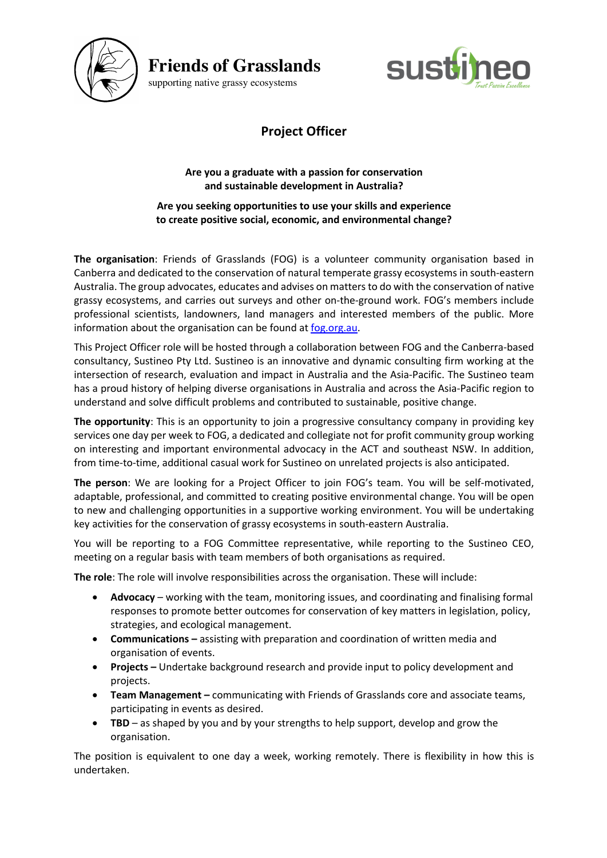

**Friends of Grasslands**



supporting native grassy ecosystems

## **Project Officer**

## **Are you a graduate with a passion for conservation and sustainable development in Australia?**

**Are you seeking opportunities to use your skills and experience to create positive social, economic, and environmental change?**

**The organisation**: Friends of Grasslands (FOG) is a volunteer community organisation based in Canberra and dedicated to the conservation of natural temperate grassy ecosystems in south-eastern Australia. The group advocates, educates and advises on matters to do with the conservation of native grassy ecosystems, and carries out surveys and other on-the-ground work. FOG's members include professional scientists, landowners, land managers and interested members of the public. More information about the organisation can be found at fog.org.au.

This Project Officer role will be hosted through a collaboration between FOG and the Canberra-based consultancy, Sustineo Pty Ltd. Sustineo is an innovative and dynamic consulting firm working at the intersection of research, evaluation and impact in Australia and the Asia-Pacific. The Sustineo team has a proud history of helping diverse organisations in Australia and across the Asia-Pacific region to understand and solve difficult problems and contributed to sustainable, positive change.

**The opportunity**: This is an opportunity to join a progressive consultancy company in providing key services one day per week to FOG, a dedicated and collegiate not for profit community group working on interesting and important environmental advocacy in the ACT and southeast NSW. In addition, from time-to-time, additional casual work for Sustineo on unrelated projects is also anticipated.

**The person**: We are looking for a Project Officer to join FOG's team. You will be self-motivated, adaptable, professional, and committed to creating positive environmental change. You will be open to new and challenging opportunities in a supportive working environment. You will be undertaking key activities for the conservation of grassy ecosystems in south-eastern Australia.

You will be reporting to a FOG Committee representative, while reporting to the Sustineo CEO, meeting on a regular basis with team members of both organisations as required.

**The role**: The role will involve responsibilities across the organisation. These will include:

- **Advocacy** working with the team, monitoring issues, and coordinating and finalising formal responses to promote better outcomes for conservation of key matters in legislation, policy, strategies, and ecological management.
- **Communications –** assisting with preparation and coordination of written media and organisation of events.
- **Projects –** Undertake background research and provide input to policy development and projects.
- **Team Management –** communicating with Friends of Grasslands core and associate teams, participating in events as desired.
- **TBD** as shaped by you and by your strengths to help support, develop and grow the organisation.

The position is equivalent to one day a week, working remotely. There is flexibility in how this is undertaken.